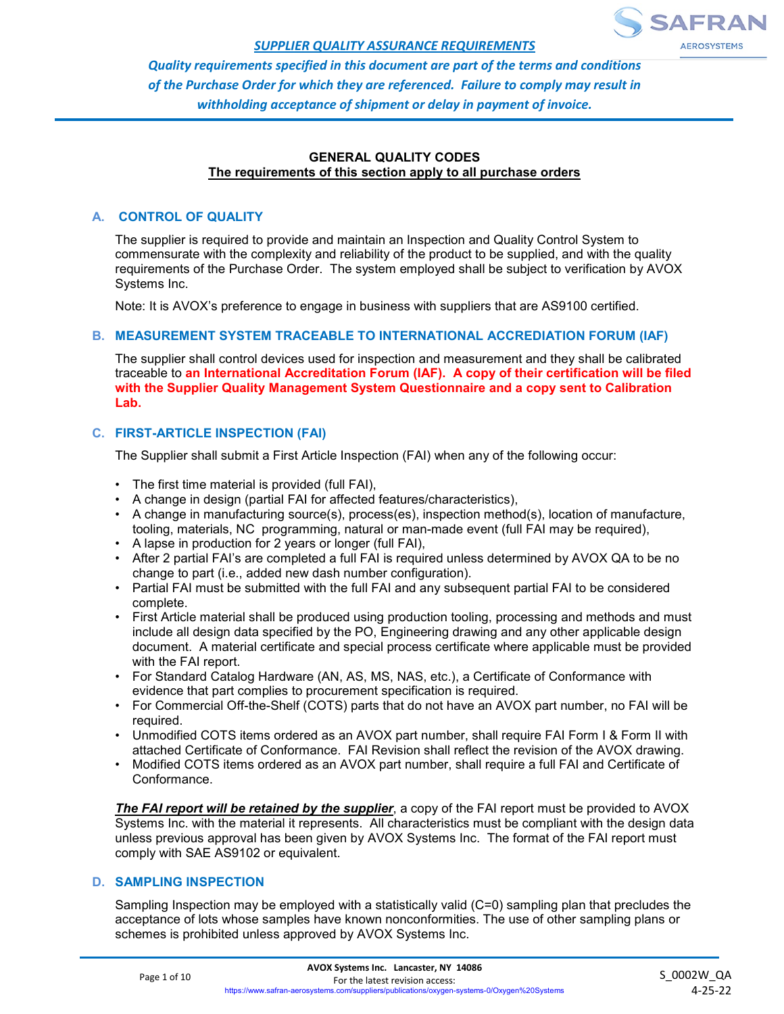

*Quality requirements specified in this document are part of the terms and conditions of the Purchase Order for which they are referenced. Failure to comply may result in withholding acceptance of shipment or delay in payment of invoice.*

# **GENERAL QUALITY CODES The requirements of this section apply to all purchase orders**

# **A. CONTROL OF QUALITY**

The supplier is required to provide and maintain an Inspection and Quality Control System to commensurate with the complexity and reliability of the product to be supplied, and with the quality requirements of the Purchase Order. The system employed shall be subject to verification by AVOX Systems Inc.

Note: It is AVOX's preference to engage in business with suppliers that are AS9100 certified.

# **B. MEASUREMENT SYSTEM TRACEABLE TO INTERNATIONAL ACCREDIATION FORUM (IAF)**

The supplier shall control devices used for inspection and measurement and they shall be calibrated traceable to **an International Accreditation Forum (IAF). A copy of their certification will be filed with the Supplier Quality Management System Questionnaire and a copy sent to Calibration Lab.** 

# **C. FIRST-ARTICLE INSPECTION (FAI)**

The Supplier shall submit a First Article Inspection (FAI) when any of the following occur:

- The first time material is provided (full FAI),
- A change in design (partial FAI for affected features/characteristics),
- A change in manufacturing source(s), process(es), inspection method(s), location of manufacture, tooling, materials, NC programming, natural or man-made event (full FAI may be required),
- A lapse in production for 2 years or longer (full FAI),
- After 2 partial FAI's are completed a full FAI is required unless determined by AVOX QA to be no change to part (i.e., added new dash number configuration).
- Partial FAI must be submitted with the full FAI and any subsequent partial FAI to be considered complete.
- First Article material shall be produced using production tooling, processing and methods and must include all design data specified by the PO, Engineering drawing and any other applicable design document. A material certificate and special process certificate where applicable must be provided with the FAI report.
- For Standard Catalog Hardware (AN, AS, MS, NAS, etc.), a Certificate of Conformance with evidence that part complies to procurement specification is required.
- For Commercial Off-the-Shelf (COTS) parts that do not have an AVOX part number, no FAI will be required.
- Unmodified COTS items ordered as an AVOX part number, shall require FAI Form I & Form II with attached Certificate of Conformance. FAI Revision shall reflect the revision of the AVOX drawing.
- Modified COTS items ordered as an AVOX part number, shall require a full FAI and Certificate of Conformance.

**The FAI report will be retained by the supplier**, a copy of the FAI report must be provided to AVOX Systems Inc. with the material it represents. All characteristics must be compliant with the design data unless previous approval has been given by AVOX Systems Inc. The format of the FAI report must comply with SAE AS9102 or equivalent.

# **D. SAMPLING INSPECTION**

Sampling Inspection may be employed with a statistically valid (C=0) sampling plan that precludes the acceptance of lots whose samples have known nonconformities. The use of other sampling plans or schemes is prohibited unless approved by AVOX Systems Inc.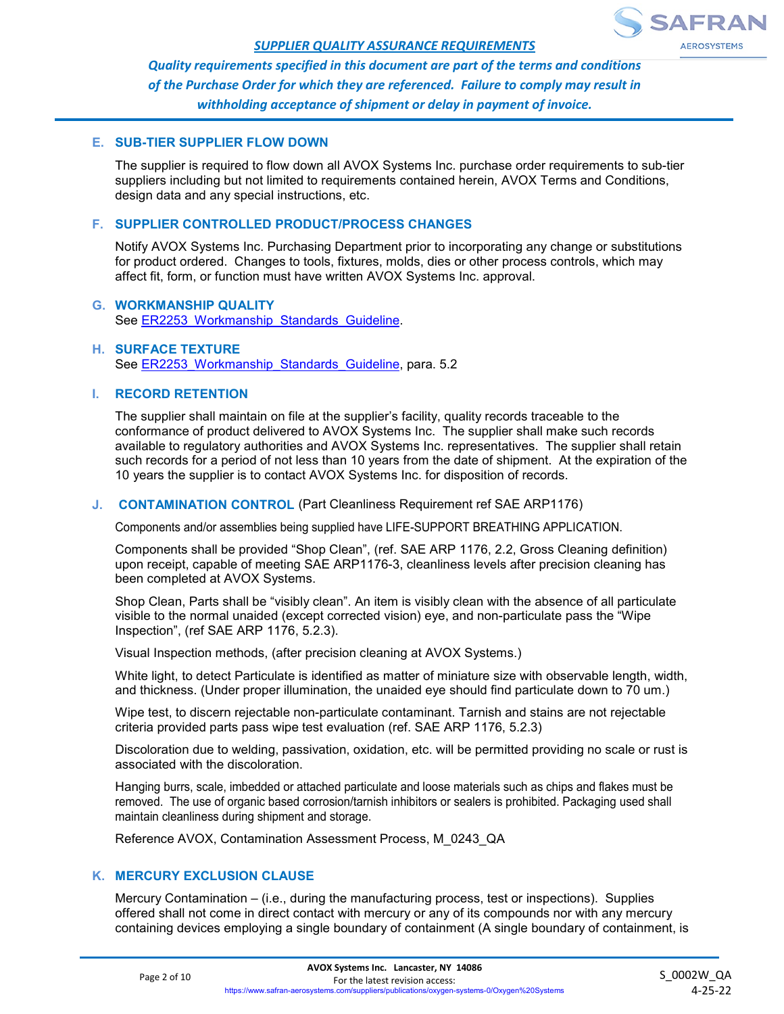

*SUPPLIER QUALITY ASSURANCE REQUIREMENTS Quality requirements specified in this document are part of the terms and conditions of the Purchase Order for which they are referenced. Failure to comply may result in withholding acceptance of shipment or delay in payment of invoice.*

# **E. SUB-TIER SUPPLIER FLOW DOWN**

The supplier is required to flow down all AVOX Systems Inc. purchase order requirements to sub-tier suppliers including but not limited to requirements contained herein, AVOX Terms and Conditions, design data and any special instructions, etc.

# **F. SUPPLIER CONTROLLED PRODUCT/PROCESS CHANGES**

Notify AVOX Systems Inc. Purchasing Department prior to incorporating any change or substitutions for product ordered. Changes to tools, fixtures, molds, dies or other process controls, which may affect fit, form, or function must have written AVOX Systems Inc. approval.

# **G. WORKMANSHIP QUALITY**

See ER2253 Workmanship Standards Guideline.

# **H. SURFACE TEXTURE**

See ER2253 Workmanship Standards Guideline, para. 5.2

# **I. RECORD RETENTION**

The supplier shall maintain on file at the supplier's facility, quality records traceable to the conformance of product delivered to AVOX Systems Inc. The supplier shall make such records available to regulatory authorities and AVOX Systems Inc. representatives. The supplier shall retain such records for a period of not less than 10 years from the date of shipment. At the expiration of the 10 years the supplier is to contact AVOX Systems Inc. for disposition of records.

#### **J. CONTAMINATION CONTROL** (Part Cleanliness Requirement ref SAE ARP1176)

Components and/or assemblies being supplied have LIFE-SUPPORT BREATHING APPLICATION.

Components shall be provided "Shop Clean", (ref. SAE ARP 1176, 2.2, Gross Cleaning definition) upon receipt, capable of meeting SAE ARP1176-3, cleanliness levels after precision cleaning has been completed at AVOX Systems.

Shop Clean, Parts shall be "visibly clean". An item is visibly clean with the absence of all particulate visible to the normal unaided (except corrected vision) eye, and non-particulate pass the "Wipe Inspection", (ref SAE ARP 1176, 5.2.3).

Visual Inspection methods, (after precision cleaning at AVOX Systems.)

White light, to detect Particulate is identified as matter of miniature size with observable length, width, and thickness. (Under proper illumination, the unaided eye should find particulate down to 70 um.)

Wipe test, to discern rejectable non-particulate contaminant. Tarnish and stains are not rejectable criteria provided parts pass wipe test evaluation (ref. SAE ARP 1176, 5.2.3)

Discoloration due to welding, passivation, oxidation, etc. will be permitted providing no scale or rust is associated with the discoloration.

Hanging burrs, scale, imbedded or attached particulate and loose materials such as chips and flakes must be removed. The use of organic based corrosion/tarnish inhibitors or sealers is prohibited. Packaging used shall maintain cleanliness during shipment and storage.

Reference AVOX, Contamination Assessment Process, M\_0243\_QA

# **K. MERCURY EXCLUSION CLAUSE**

Mercury Contamination – (i.e., during the manufacturing process, test or inspections). Supplies offered shall not come in direct contact with mercury or any of its compounds nor with any mercury containing devices employing a single boundary of containment (A single boundary of containment, is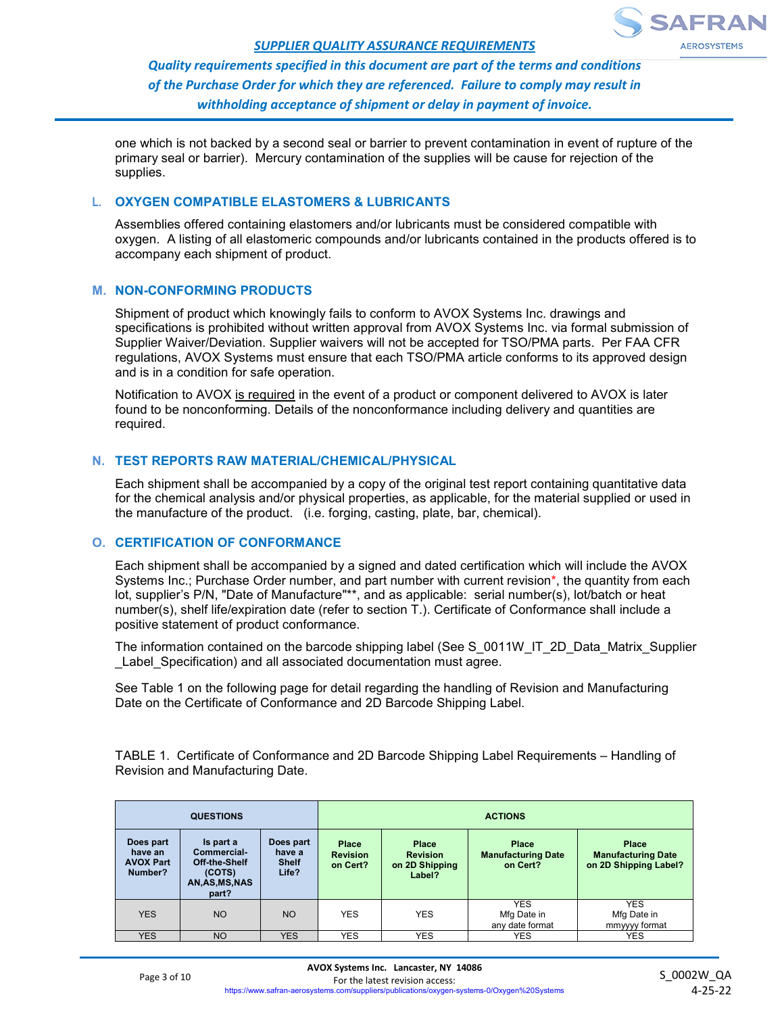

*Quality requirements specified in this document are part of the terms and conditions of the Purchase Order for which they are referenced. Failure to comply may result in withholding acceptance of shipment or delay in payment of invoice.*

one which is not backed by a second seal or barrier to prevent contamination in event of rupture of the primary seal or barrier). Mercury contamination of the supplies will be cause for rejection of the supplies.

# **L. OXYGEN COMPATIBLE ELASTOMERS & LUBRICANTS**

Assemblies offered containing elastomers and/or lubricants must be considered compatible with oxygen. A listing of all elastomeric compounds and/or lubricants contained in the products offered is to accompany each shipment of product.

### **M. NON-CONFORMING PRODUCTS**

Shipment of product which knowingly fails to conform to AVOX Systems Inc. drawings and specifications is prohibited without written approval from AVOX Systems Inc. via formal submission of Supplier Waiver/Deviation. Supplier waivers will not be accepted for TSO/PMA parts. Per FAA CFR regulations, AVOX Systems must ensure that each TSO/PMA article conforms to its approved design and is in a condition for safe operation.

Notification to AVOX is required in the event of a product or component delivered to AVOX is later found to be nonconforming. Details of the nonconformance including delivery and quantities are required.

# **N. TEST REPORTS RAW MATERIAL/CHEMICAL/PHYSICAL**

Each shipment shall be accompanied by a copy of the original test report containing quantitative data for the chemical analysis and/or physical properties, as applicable, for the material supplied or used in the manufacture of the product. (i.e. forging, casting, plate, bar, chemical).

# **O. CERTIFICATION OF CONFORMANCE**

Each shipment shall be accompanied by a signed and dated certification which will include the AVOX Systems Inc.; Purchase Order number, and part number with current revision\*, the quantity from each lot, supplier's P/N, "Date of Manufacture"\*\*, and as applicable: serial number(s), lot/batch or heat number(s), shelf life/expiration date (refer to section T.). Certificate of Conformance shall include a positive statement of product conformance.

The information contained on the barcode shipping label (See S 0011W\_IT\_2D\_Data\_Matrix\_Supplier Label Specification) and all associated documentation must agree.

See Table 1 on the following page for detail regarding the handling of Revision and Manufacturing Date on the Certificate of Conformance and 2D Barcode Shipping Label.

TABLE 1. Certificate of Conformance and 2D Barcode Shipping Label Requirements – Handling of Revision and Manufacturing Date.

| <b>QUESTIONS</b>                                    |                                                                                 |                                              | <b>ACTIONS</b>                              |                                                      |                                                |                                                             |
|-----------------------------------------------------|---------------------------------------------------------------------------------|----------------------------------------------|---------------------------------------------|------------------------------------------------------|------------------------------------------------|-------------------------------------------------------------|
| Does part<br>have an<br><b>AVOX Part</b><br>Number? | Is part a<br>Commercial-<br>Off-the-Shelf<br>(COTS)<br>AN, AS, MS, NAS<br>part? | Does part<br>have a<br><b>Shelf</b><br>Life? | <b>Place</b><br><b>Revision</b><br>on Cert? | Place<br><b>Revision</b><br>on 2D Shipping<br>Label? | Place<br><b>Manufacturing Date</b><br>on Cert? | Place<br><b>Manufacturing Date</b><br>on 2D Shipping Label? |
| <b>YES</b>                                          | <b>NO</b>                                                                       | NO <sub>1</sub>                              | <b>YES</b>                                  | <b>YES</b>                                           | <b>YES</b><br>Mfg Date in<br>any date format   | <b>YES</b><br>Mfg Date in<br>mmyyyy format                  |
| <b>YES</b>                                          | <b>NO</b>                                                                       | <b>YES</b>                                   | <b>YES</b>                                  | <b>YES</b>                                           | <b>YES</b>                                     | <b>YES</b>                                                  |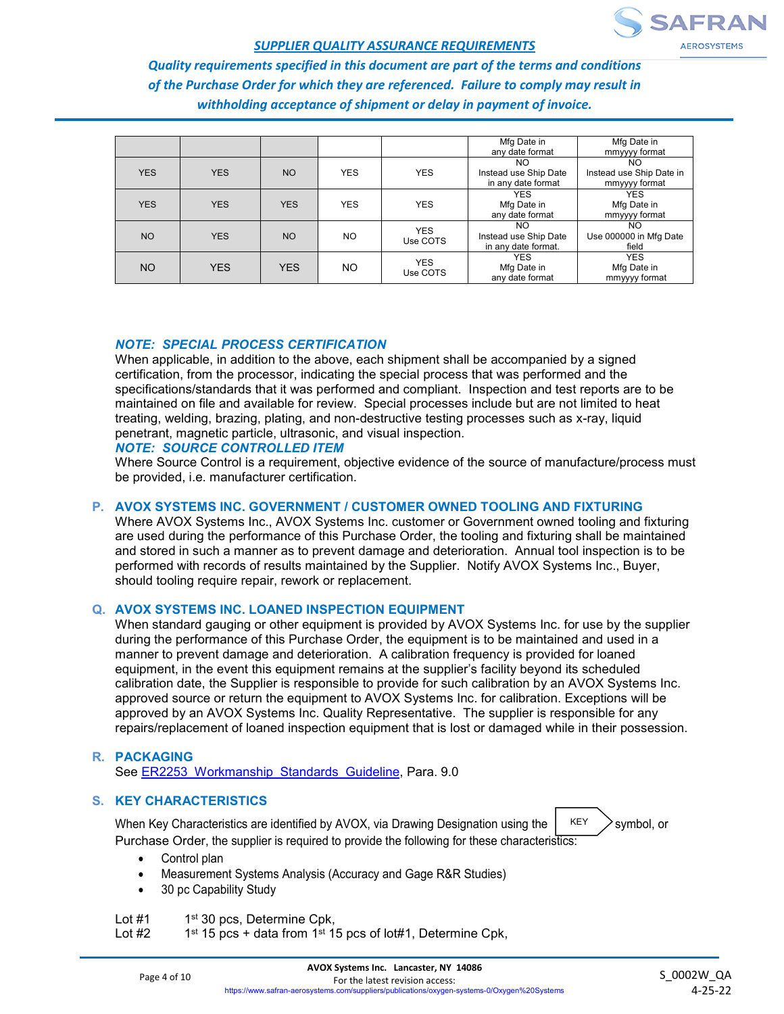

# *Quality requirements specified in this document are part of the terms and conditions of the Purchase Order for which they are referenced. Failure to comply may result in withholding acceptance of shipment or delay in payment of invoice.*

|            |            |                 |            |                        | Mfg Date in<br>any date format                      | Mfg Date in<br>mmyyyy format                     |
|------------|------------|-----------------|------------|------------------------|-----------------------------------------------------|--------------------------------------------------|
| <b>YES</b> | <b>YES</b> | <b>NO</b>       | <b>YES</b> | <b>YES</b>             | NO.<br>Instead use Ship Date<br>in any date format  | NO.<br>Instead use Ship Date in<br>mmyyyy format |
| <b>YES</b> | <b>YES</b> | <b>YES</b>      | <b>YES</b> | <b>YES</b>             | <b>YES</b><br>Mfg Date in<br>any date format        | <b>YES</b><br>Mfg Date in<br>mmyyyy format       |
| <b>NO</b>  | <b>YES</b> | NO <sub>1</sub> | NO.        | <b>YES</b><br>Use COTS | NO.<br>Instead use Ship Date<br>in any date format. | NO.<br>Use 000000 in Mfg Date<br>field           |
| <b>NO</b>  | <b>YES</b> | <b>YES</b>      | <b>NO</b>  | <b>YES</b><br>Use COTS | <b>YES</b><br>Mfg Date in<br>any date format        | <b>YES</b><br>Mfg Date in<br>mmyyyy format       |

# *NOTE: SPECIAL PROCESS CERTIFICATION*

When applicable, in addition to the above, each shipment shall be accompanied by a signed certification, from the processor, indicating the special process that was performed and the specifications/standards that it was performed and compliant. Inspection and test reports are to be maintained on file and available for review. Special processes include but are not limited to heat treating, welding, brazing, plating, and non-destructive testing processes such as x-ray, liquid penetrant, magnetic particle, ultrasonic, and visual inspection.

# *NOTE: SOURCE CONTROLLED ITEM*

Where Source Control is a requirement, objective evidence of the source of manufacture/process must be provided, i.e. manufacturer certification.

# **P. AVOX SYSTEMS INC. GOVERNMENT / CUSTOMER OWNED TOOLING AND FIXTURING**

Where AVOX Systems Inc., AVOX Systems Inc. customer or Government owned tooling and fixturing are used during the performance of this Purchase Order, the tooling and fixturing shall be maintained and stored in such a manner as to prevent damage and deterioration. Annual tool inspection is to be performed with records of results maintained by the Supplier. Notify AVOX Systems Inc., Buyer, should tooling require repair, rework or replacement.

# **Q. AVOX SYSTEMS INC. LOANED INSPECTION EQUIPMENT**

When standard gauging or other equipment is provided by AVOX Systems Inc. for use by the supplier during the performance of this Purchase Order, the equipment is to be maintained and used in a manner to prevent damage and deterioration. A calibration frequency is provided for loaned equipment, in the event this equipment remains at the supplier's facility beyond its scheduled calibration date, the Supplier is responsible to provide for such calibration by an AVOX Systems Inc. approved source or return the equipment to AVOX Systems Inc. for calibration. Exceptions will be approved by an AVOX Systems Inc. Quality Representative. The supplier is responsible for any repairs/replacement of loaned inspection equipment that is lost or damaged while in their possession.

# **R. PACKAGING**

See [ER2253\\_Workmanship\\_Standards\\_Guideline,](file://aoxfs01/mansysdev/NEW%20AOS/EXTRA%20WORK%20INSTRUCTIONS/ER2253.F.pdf) Para. 9.0

# **S. KEY CHARACTERISTICS**

When Key Characteristics are identified by AVOX, via Drawing Designation using the  $\vert$  KEY > symbol, or Purchase Order, the supplier is required to provide the following for these characteristics: KEY

- Control plan
- Measurement Systems Analysis (Accuracy and Gage R&R Studies)
- 30 pc Capability Study

Lot #1  $1$ <sup>st</sup> 30 pcs, Determine Cpk,<br>Lot #2  $1$ <sup>st</sup> 15 pcs + data from 1<sup>st</sup> 1

1<sup>st</sup> 15 pcs + data from 1<sup>st</sup> 15 pcs of lot#1, Determine Cpk,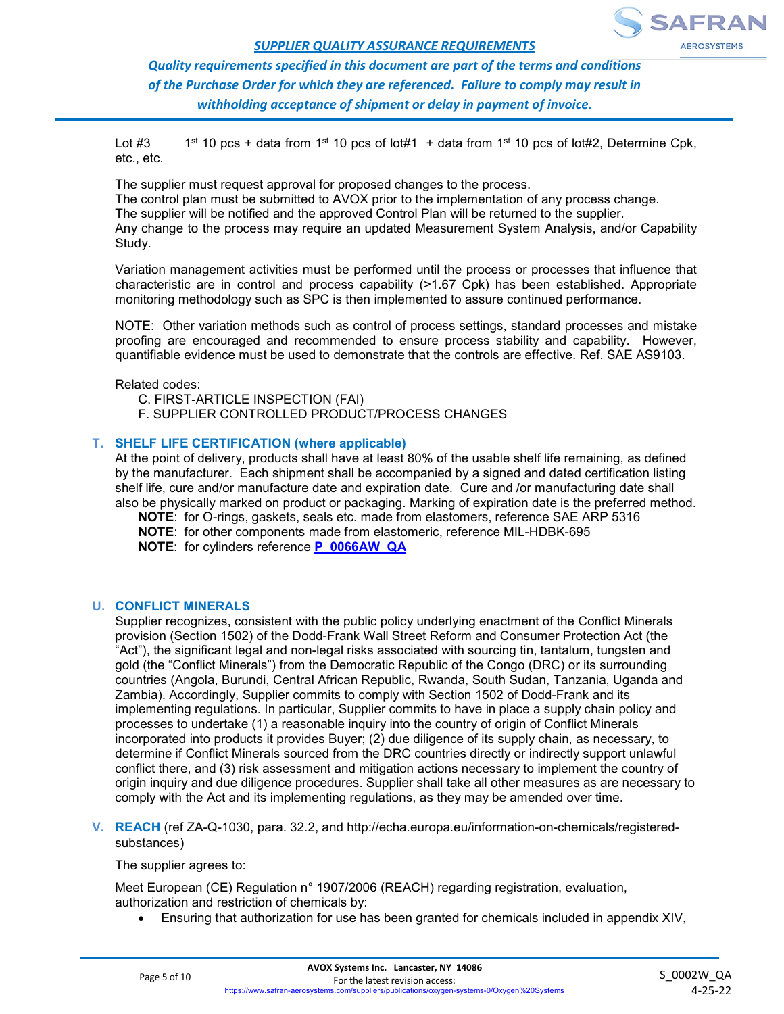

*Quality requirements specified in this document are part of the terms and conditions of the Purchase Order for which they are referenced. Failure to comply may result in withholding acceptance of shipment or delay in payment of invoice.*

Lot #3  $1$ <sup>st</sup> 10 pcs + data from 1<sup>st</sup> 10 pcs of lot#1 + data from 1<sup>st</sup> 10 pcs of lot#2, Determine Cpk, etc., etc.

The supplier must request approval for proposed changes to the process. The control plan must be submitted to AVOX prior to the implementation of any process change. The supplier will be notified and the approved Control Plan will be returned to the supplier. Any change to the process may require an updated Measurement System Analysis, and/or Capability Study.

Variation management activities must be performed until the process or processes that influence that characteristic are in control and process capability (>1.67 Cpk) has been established. Appropriate monitoring methodology such as SPC is then implemented to assure continued performance.

NOTE: Other variation methods such as control of process settings, standard processes and mistake proofing are encouraged and recommended to ensure process stability and capability. However, quantifiable evidence must be used to demonstrate that the controls are effective. Ref. SAE AS9103.

Related codes:

- C. FIRST-ARTICLE INSPECTION (FAI)
- F. SUPPLIER CONTROLLED PRODUCT/PROCESS CHANGES

# **T. SHELF LIFE CERTIFICATION (where applicable)**

At the point of delivery, products shall have at least 80% of the usable shelf life remaining, as defined by the manufacturer. Each shipment shall be accompanied by a signed and dated certification listing shelf life, cure and/or manufacture date and expiration date. Cure and /or manufacturing date shall also be physically marked on product or packaging. Marking of expiration date is the preferred method.

- **NOTE**: for O-rings, gaskets, seals etc. made from elastomers, reference SAE ARP 5316
- **NOTE**: for other components made from elastomeric, reference MIL-HDBK-695
- **NOTE**: for cylinders reference **[P\\_0066AW\\_QA](file://aoxfs01/mansysdev/NEW%20AOS/P_0066AW_QA_Cylinder_Matrix.pdf)**

# **U. CONFLICT MINERALS**

Supplier recognizes, consistent with the public policy underlying enactment of the Conflict Minerals provision (Section 1502) of the Dodd-Frank Wall Street Reform and Consumer Protection Act (the "Act"), the significant legal and non-legal risks associated with sourcing tin, tantalum, tungsten and gold (the "Conflict Minerals") from the Democratic Republic of the Congo (DRC) or its surrounding countries (Angola, Burundi, Central African Republic, Rwanda, South Sudan, Tanzania, Uganda and Zambia). Accordingly, Supplier commits to comply with Section 1502 of Dodd-Frank and its implementing regulations. In particular, Supplier commits to have in place a supply chain policy and processes to undertake (1) a reasonable inquiry into the country of origin of Conflict Minerals incorporated into products it provides Buyer; (2) due diligence of its supply chain, as necessary, to determine if Conflict Minerals sourced from the DRC countries directly or indirectly support unlawful conflict there, and (3) risk assessment and mitigation actions necessary to implement the country of origin inquiry and due diligence procedures. Supplier shall take all other measures as are necessary to comply with the Act and its implementing regulations, as they may be amended over time.

**V. REACH** (ref ZA-Q-1030, para. 32.2, and http://echa.europa.eu/information-on-chemicals/registeredsubstances)

The supplier agrees to:

Meet European (CE) Regulation n° 1907/2006 (REACH) regarding registration, evaluation, authorization and restriction of chemicals by:

• Ensuring that authorization for use has been granted for chemicals included in appendix XIV,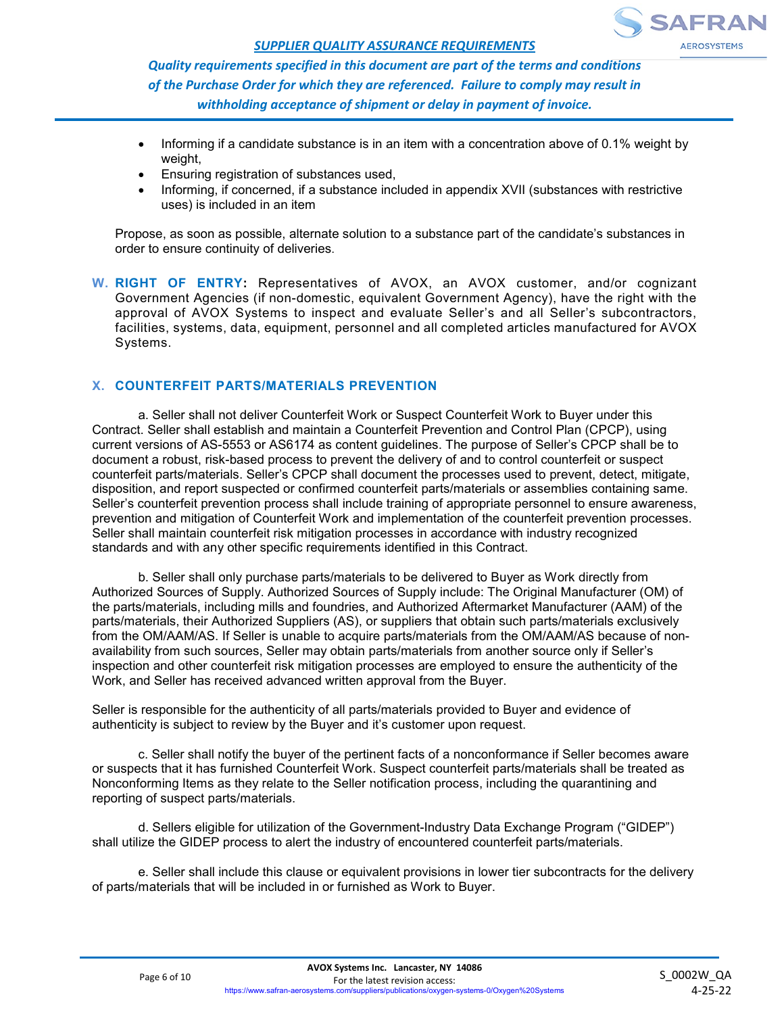

*Quality requirements specified in this document are part of the terms and conditions of the Purchase Order for which they are referenced. Failure to comply may result in withholding acceptance of shipment or delay in payment of invoice.*

- Informing if a candidate substance is in an item with a concentration above of 0.1% weight by weight,
- Ensuring registration of substances used,
- Informing, if concerned, if a substance included in appendix XVII (substances with restrictive uses) is included in an item

Propose, as soon as possible, alternate solution to a substance part of the candidate's substances in order to ensure continuity of deliveries.

**W. RIGHT OF ENTRY:** Representatives of AVOX, an AVOX customer, and/or cognizant Government Agencies (if non-domestic, equivalent Government Agency), have the right with the approval of AVOX Systems to inspect and evaluate Seller's and all Seller's subcontractors, facilities, systems, data, equipment, personnel and all completed articles manufactured for AVOX Systems.

# **X. COUNTERFEIT PARTS/MATERIALS PREVENTION**

a. Seller shall not deliver Counterfeit Work or Suspect Counterfeit Work to Buyer under this Contract. Seller shall establish and maintain a Counterfeit Prevention and Control Plan (CPCP), using current versions of AS-5553 or AS6174 as content guidelines. The purpose of Seller's CPCP shall be to document a robust, risk-based process to prevent the delivery of and to control counterfeit or suspect counterfeit parts/materials. Seller's CPCP shall document the processes used to prevent, detect, mitigate, disposition, and report suspected or confirmed counterfeit parts/materials or assemblies containing same. Seller's counterfeit prevention process shall include training of appropriate personnel to ensure awareness, prevention and mitigation of Counterfeit Work and implementation of the counterfeit prevention processes. Seller shall maintain counterfeit risk mitigation processes in accordance with industry recognized standards and with any other specific requirements identified in this Contract.

b. Seller shall only purchase parts/materials to be delivered to Buyer as Work directly from Authorized Sources of Supply. Authorized Sources of Supply include: The Original Manufacturer (OM) of the parts/materials, including mills and foundries, and Authorized Aftermarket Manufacturer (AAM) of the parts/materials, their Authorized Suppliers (AS), or suppliers that obtain such parts/materials exclusively from the OM/AAM/AS. If Seller is unable to acquire parts/materials from the OM/AAM/AS because of nonavailability from such sources, Seller may obtain parts/materials from another source only if Seller's inspection and other counterfeit risk mitigation processes are employed to ensure the authenticity of the Work, and Seller has received advanced written approval from the Buyer.

Seller is responsible for the authenticity of all parts/materials provided to Buyer and evidence of authenticity is subject to review by the Buyer and it's customer upon request.

c. Seller shall notify the buyer of the pertinent facts of a nonconformance if Seller becomes aware or suspects that it has furnished Counterfeit Work. Suspect counterfeit parts/materials shall be treated as Nonconforming Items as they relate to the Seller notification process, including the quarantining and reporting of suspect parts/materials.

d. Sellers eligible for utilization of the Government-Industry Data Exchange Program ("GIDEP") shall utilize the GIDEP process to alert the industry of encountered counterfeit parts/materials.

e. Seller shall include this clause or equivalent provisions in lower tier subcontracts for the delivery of parts/materials that will be included in or furnished as Work to Buyer.

Page 6 of 10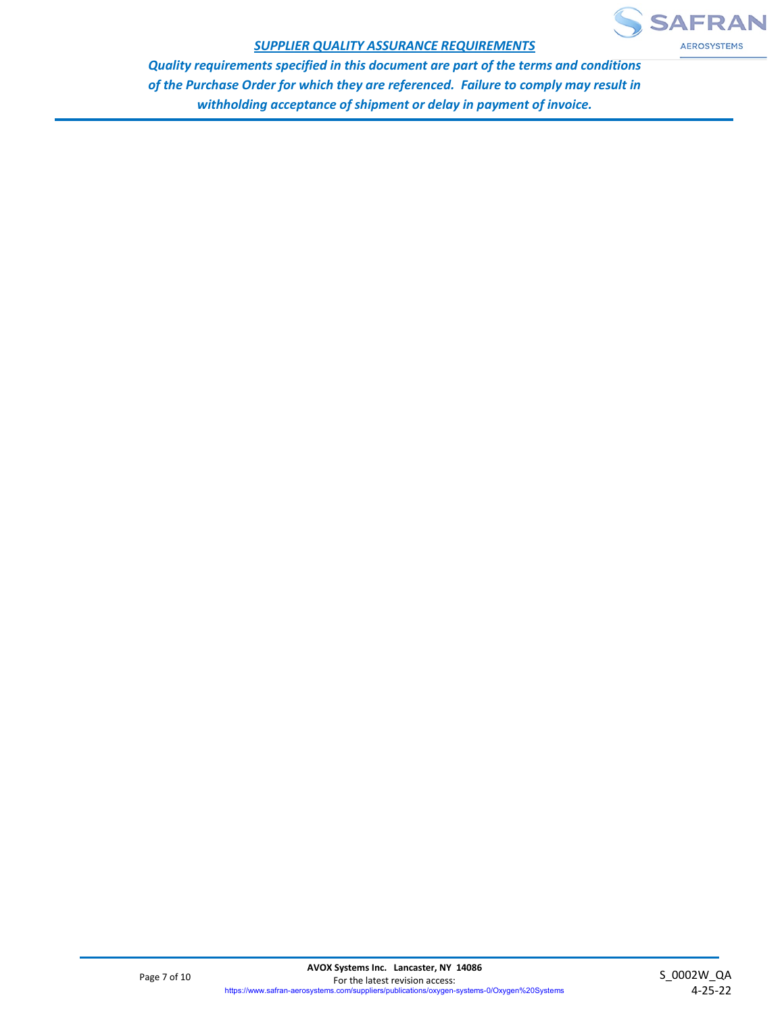

*Quality requirements specified in this document are part of the terms and conditions of the Purchase Order for which they are referenced. Failure to comply may result in withholding acceptance of shipment or delay in payment of invoice.*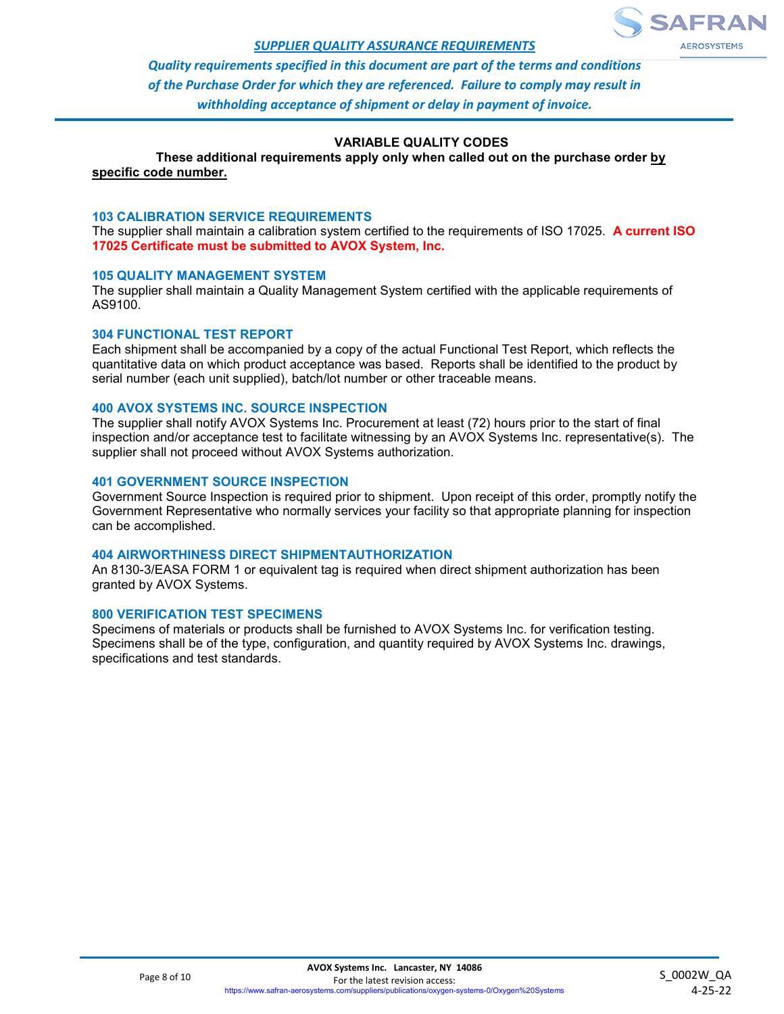

*Quality requirements specified in this document are part of the terms and conditions of the Purchase Order for which they are referenced. Failure to comply may result in withholding acceptance of shipment or delay in payment of invoice.*

### **VARIABLE QUALITY CODES**

 **These additional requirements apply only when called out on the purchase order by specific code number.**

#### **103 CALIBRATION SERVICE REQUIREMENTS**

The supplier shall maintain a calibration system certified to the requirements of ISO 17025. **A current ISO 17025 Certificate must be submitted to AVOX System, Inc.**

#### **105 QUALITY MANAGEMENT SYSTEM**

The supplier shall maintain a Quality Management System certified with the applicable requirements of AS9100.

#### **304 FUNCTIONAL TEST REPORT**

Each shipment shall be accompanied by a copy of the actual Functional Test Report, which reflects the quantitative data on which product acceptance was based. Reports shall be identified to the product by serial number (each unit supplied), batch/lot number or other traceable means.

### **400 AVOX SYSTEMS INC. SOURCE INSPECTION**

The supplier shall notify AVOX Systems Inc. Procurement at least (72) hours prior to the start of final inspection and/or acceptance test to facilitate witnessing by an AVOX Systems Inc. representative(s). The supplier shall not proceed without AVOX Systems authorization.

# **401 GOVERNMENT SOURCE INSPECTION**

Government Source Inspection is required prior to shipment. Upon receipt of this order, promptly notify the Government Representative who normally services your facility so that appropriate planning for inspection can be accomplished.

#### **404 AIRWORTHINESS DIRECT SHIPMENTAUTHORIZATION**

An 8130-3/EASA FORM 1 or equivalent tag is required when direct shipment authorization has been granted by AVOX Systems.

#### **800 VERIFICATION TEST SPECIMENS**

Specimens of materials or products shall be furnished to AVOX Systems Inc. for verification testing. Specimens shall be of the type, configuration, and quantity required by AVOX Systems Inc. drawings, specifications and test standards.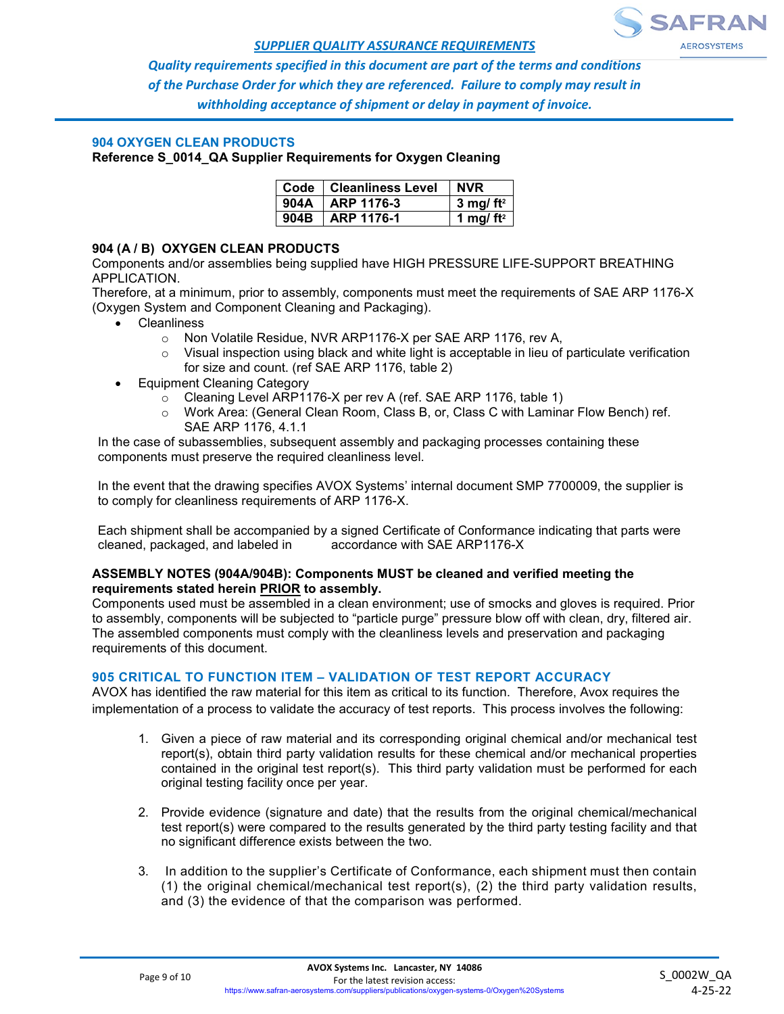

*Quality requirements specified in this document are part of the terms and conditions of the Purchase Order for which they are referenced. Failure to comply may result in withholding acceptance of shipment or delay in payment of invoice.*

# **904 OXYGEN CLEAN PRODUCTS**

**Reference S\_0014\_QA Supplier Requirements for Oxygen Cleaning**

|      | ∣ Code ∣ Cleanliness Level | <b>NVR</b>           |
|------|----------------------------|----------------------|
|      | $904A$   ARP 1176-3        | 3 mg/ $ft^2$         |
| 904B | ARP 1176-1                 | 1 mg/ft <sup>2</sup> |

#### **904 (A / B) OXYGEN CLEAN PRODUCTS**

Components and/or assemblies being supplied have HIGH PRESSURE LIFE-SUPPORT BREATHING APPLICATION.

Therefore, at a minimum, prior to assembly, components must meet the requirements of SAE ARP 1176-X (Oxygen System and Component Cleaning and Packaging).

- **Cleanliness** 
	- o Non Volatile Residue, NVR ARP1176-X per SAE ARP 1176, rev A,
	- $\circ$  Visual inspection using black and white light is acceptable in lieu of particulate verification for size and count. (ref SAE ARP 1176, table 2)
- Equipment Cleaning Category
	- o Cleaning Level ARP1176-X per rev A (ref. SAE ARP 1176, table 1)<br>○ Work Area: (General Clean Room. Class B. or. Class C with Lamina
	- Work Area: (General Clean Room, Class B, or, Class C with Laminar Flow Bench) ref. SAE ARP 1176, 4.1.1

In the case of subassemblies, subsequent assembly and packaging processes containing these components must preserve the required cleanliness level.

In the event that the drawing specifies AVOX Systems' internal document SMP 7700009, the supplier is to comply for cleanliness requirements of ARP 1176-X.

Each shipment shall be accompanied by a signed Certificate of Conformance indicating that parts were cleaned. packaged, and labeled in accordance with SAE ARP1176-X cleaned, packaged, and labeled in

### **ASSEMBLY NOTES (904A/904B): Components MUST be cleaned and verified meeting the requirements stated herein PRIOR to assembly.**

Components used must be assembled in a clean environment; use of smocks and gloves is required. Prior to assembly, components will be subjected to "particle purge" pressure blow off with clean, dry, filtered air. The assembled components must comply with the cleanliness levels and preservation and packaging requirements of this document.

# **905 CRITICAL TO FUNCTION ITEM – VALIDATION OF TEST REPORT ACCURACY**

AVOX has identified the raw material for this item as critical to its function. Therefore, Avox requires the implementation of a process to validate the accuracy of test reports. This process involves the following:

- 1. Given a piece of raw material and its corresponding original chemical and/or mechanical test report(s), obtain third party validation results for these chemical and/or mechanical properties contained in the original test report(s). This third party validation must be performed for each original testing facility once per year.
- 2. Provide evidence (signature and date) that the results from the original chemical/mechanical test report(s) were compared to the results generated by the third party testing facility and that no significant difference exists between the two.
- 3. In addition to the supplier's Certificate of Conformance, each shipment must then contain (1) the original chemical/mechanical test report(s), (2) the third party validation results, and (3) the evidence of that the comparison was performed.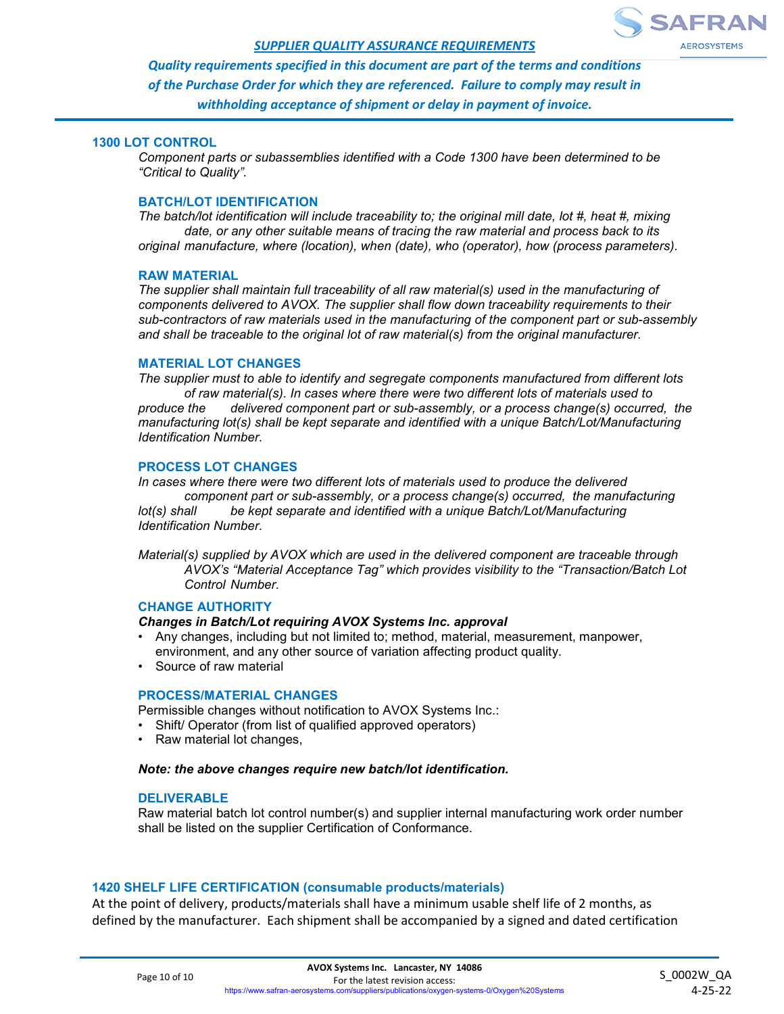

*Quality requirements specified in this document are part of the terms and conditions of the Purchase Order for which they are referenced. Failure to comply may result in withholding acceptance of shipment or delay in payment of invoice.*

### **1300 LOT CONTROL**

*Component parts or subassemblies identified with a Code 1300 have been determined to be "Critical to Quality".* 

### **BATCH/LOT IDENTIFICATION**

*The batch/lot identification will include traceability to; the original mill date, lot #, heat #, mixing date, or any other suitable means of tracing the raw material and process back to its original manufacture, where (location), when (date), who (operator), how (process parameters).* 

#### **RAW MATERIAL**

*The supplier shall maintain full traceability of all raw material(s) used in the manufacturing of components delivered to AVOX. The supplier shall flow down traceability requirements to their sub-contractors of raw materials used in the manufacturing of the component part or sub-assembly and shall be traceable to the original lot of raw material(s) from the original manufacturer.*

#### **MATERIAL LOT CHANGES**

*The supplier must to able to identify and segregate components manufactured from different lots of raw material(s). In cases where there were two different lots of materials used to produce the delivered component part or sub-assembly, or a process change(s) occurred, the manufacturing lot(s) shall be kept separate and identified with a unique Batch/Lot/Manufacturing Identification Number.* 

### **PROCESS LOT CHANGES**

In cases where there were two different lots of materials used to produce the delivered *component part or sub-assembly, or a process change(s) occurred, the manufacturing lot(s) shall be kept separate and identified with a unique Batch/Lot/Manufacturing Identification Number.*

*Material(s) supplied by AVOX which are used in the delivered component are traceable through AVOX's "Material Acceptance Tag" which provides visibility to the "Transaction/Batch Lot Control Number.*

### **CHANGE AUTHORITY**

#### *Changes in Batch/Lot requiring AVOX Systems Inc. approval*

- Any changes, including but not limited to; method, material, measurement, manpower, environment, and any other source of variation affecting product quality.
- Source of raw material

#### **PROCESS/MATERIAL CHANGES**

Permissible changes without notification to AVOX Systems Inc.:

- Shift/ Operator (from list of qualified approved operators)
- Raw material lot changes,

#### *Note: the above changes require new batch/lot identification.*

#### **DELIVERABLE**

Raw material batch lot control number(s) and supplier internal manufacturing work order number shall be listed on the supplier Certification of Conformance.

# **1420 SHELF LIFE CERTIFICATION (consumable products/materials)**

At the point of delivery, products/materials shall have a minimum usable shelf life of 2 months, as defined by the manufacturer. Each shipment shall be accompanied by a signed and dated certification